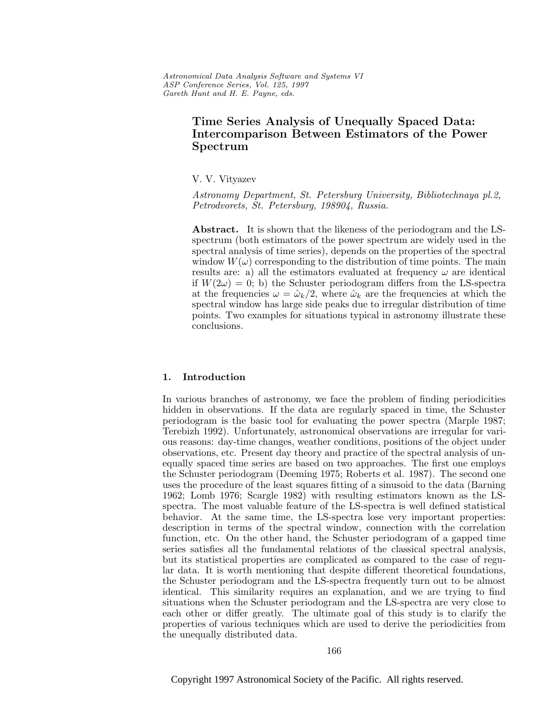Astronomical Data Analysis Software and Systems VI ASP Conference Series, Vol. 125, 1997 Gareth Hunt and H. E. Payne, e ds.

# **Time Series Analysis of Unequally Spaced Data: Intercomparison Between Estimators of the Power Spectrum**

V. V. Vityazev

Astronomy Department, St. Petersburg University, Bibliotechnaya pl.2, Petrodvorets, St. Petersburg, 198904, Russia.

**Abstract.** It is shown that the likeness of the periodogram and the LSspectrum (both estimators of the power spectrum are widely used in the spectral analysis of time series), depends on the properties of the spectral window  $W(\omega)$  corresponding to the distribution of time points. The main results are: a) all the estimators evaluated at frequency  $\omega$  are identical if  $W(2\omega) = 0$ ; b) the Schuster periodogram differs from the LS-spectra at the frequencies  $\omega = \hat{\omega}_k/2$ , where  $\hat{\omega}_k$  are the frequencies at which the spectral window has large side peaks due to irregular distribution of time points. Two examples for situations typical in astronomy illustrate these conclusions.

# **1. Introduction**

In various branches of astronomy, we face the problem of finding periodicities hidden in observations. If the data are regularly spaced in time, the Schuster periodogram is the basic tool for evaluating the power spectra (Marple 1987; Terebizh 1992). Unfortunately, astronomical observations are irregular for various reasons: day-time changes, weather conditions, positions of the object under observations, etc. Present day theory and practice of the spectral analysis of unequally spaced time series are based on two approaches. The first one employs the Schuster periodogram (Deeming 1975; Roberts et al. 1987). The second one uses the procedure of the least squares fitting of a sinusoid to the data (Barning 1962; Lomb 1976; Scargle 1982) with resulting estimators known as the LSspectra. The most valuable feature of the LS-spectra is well defined statistical behavior. At the same time, the LS-spectra lose very important properties: description in terms of the spectral window, connection with the correlation function, etc. On the other hand, the Schuster periodogram of a gapped time series satisfies all the fundamental relations of the classical spectral analysis, but its statistical properties are complicated as compared to the case of regular data. It is worth mentioning that despite different theoretical foundations, the Schuster periodogram and the LS-spectra frequently turn out to be almost identical. This similarity requires an explanation, and we are trying to find situations when the Schuster periodogram and the LS-spectra are very close to each other or differ greatly. The ultimate goal of this study is to clarify the properties of various techniques which are used to derive the periodicities from the unequally distributed data.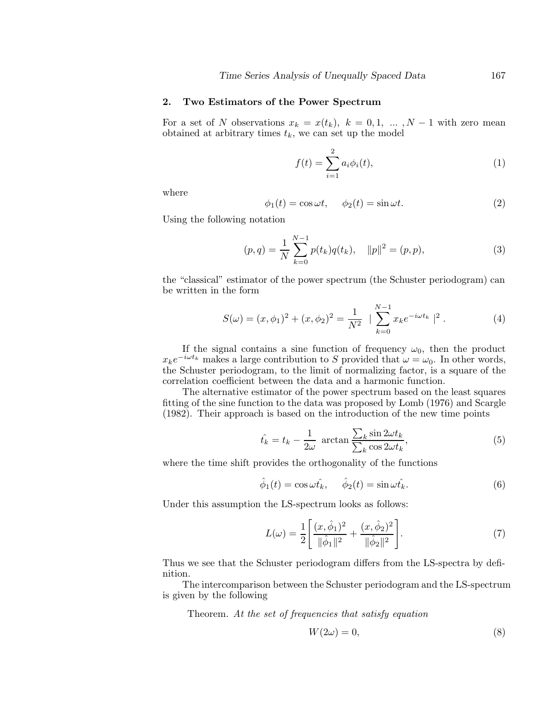## **2. Two Estimators of the Power Spectrum**

For a set of N observations  $x_k = x(t_k)$ ,  $k = 0, 1, \ldots, N-1$  with zero mean obtained at arbitrary times  $t_k$ , we can set up the model

$$
f(t) = \sum_{i=1}^{2} a_i \phi_i(t),
$$
 (1)

where

$$
\phi_1(t) = \cos \omega t, \quad \phi_2(t) = \sin \omega t.
$$
 (2)

Using the following notation

$$
(p,q) = \frac{1}{N} \sum_{k=0}^{N-1} p(t_k)q(t_k), \quad ||p||^2 = (p,p),
$$
\n(3)

the "classical" estimator of the power spectrum (the Schuster periodogram) can be written in the form

$$
S(\omega) = (x, \phi_1)^2 + (x, \phi_2)^2 = \frac{1}{N^2} \left| \sum_{k=0}^{N-1} x_k e^{-i\omega t_k} \right|^2.
$$
 (4)

If the signal contains a sine function of frequency  $\omega_0$ , then the product  $x_k e^{-i\omega t_k}$  makes a large contribution to S provided that  $\omega = \omega_0$ . In other words, the Schuster periodogram, to the limit of normalizing factor, is a square of the correlation coefficient between the data and a harmonic function.

The alternative estimator of the power spectrum based on the least squares fitting of the sine function to the data was proposed by Lomb (1976) and Scargle (1982). Their approach is based on the introduction of the new time points

$$
\hat{t_k} = t_k - \frac{1}{2\omega} \arctan \frac{\sum_k \sin 2\omega t_k}{\sum_k \cos 2\omega t_k},\tag{5}
$$

where the time shift provides the orthogonality of the functions

$$
\hat{\phi}_1(t) = \cos \omega t_k, \quad \hat{\phi}_2(t) = \sin \omega t_k. \tag{6}
$$

Under this assumption the LS-spectrum looks as follows:

$$
L(\omega) = \frac{1}{2} \left[ \frac{(x, \hat{\phi}_1)^2}{\|\hat{\phi}_1\|^2} + \frac{(x, \hat{\phi}_2)^2}{\|\hat{\phi}_2\|^2} \right].
$$
 (7)

Thus we see that the Schuster periodogram differs from the LS-spectra by definition.

The intercomparison between the Schuster periodogram and the LS-spectrum is given by the following

Theorem. At the set of frequencies that satisfy equation

$$
W(2\omega) = 0,\t\t(8)
$$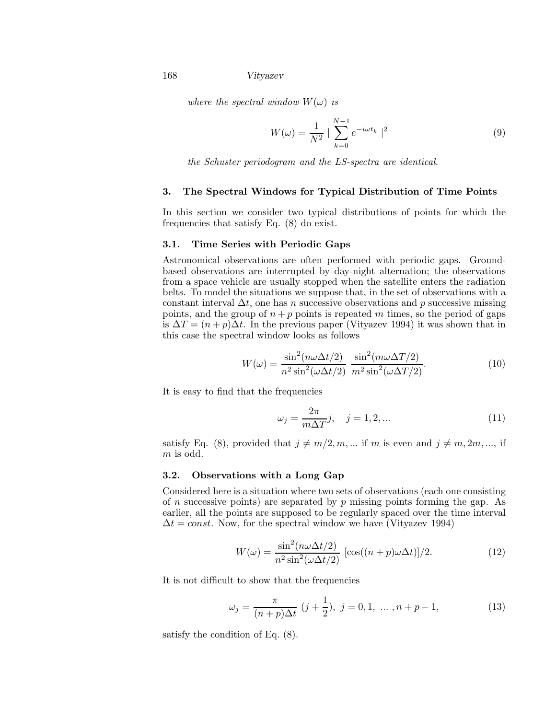168 *Vityazev*

where the spectral window  $W(\omega)$  is

$$
W(\omega) = \frac{1}{N^2} \mid \sum_{k=0}^{N-1} e^{-i\omega t_k} \mid^2
$$
 (9)

the Schuster periodogram and the LS-spectra are identical.

#### **3. The Spectral Windows for Typical Distribution of Time Points**

In this section we consider two typical distributions of points for which the frequencies that satisfy Eq. (8) do exist.

# **3.1. Time Series with Periodic Gaps**

Astronomical observations are often performed with periodic gaps. Groundbased observations are interrupted by day-night alternation; the observations from a space vehicle are usually stopped when the satellite enters the radiation belts. To model the situations we suppose that, in the set of observations with a constant interval  $\Delta t$ , one has n successive observations and p successive missing points, and the group of  $n + p$  points is repeated m times, so the period of gaps is  $\Delta T = (n+p)\Delta t$ . In the previous paper (Vityazev 1994) it was shown that in this case the spectral window looks as follows

$$
W(\omega) = \frac{\sin^2(n\omega\Delta t/2)}{n^2 \sin^2(\omega\Delta t/2)} \frac{\sin^2(m\omega\Delta T/2)}{m^2 \sin^2(\omega\Delta T/2)}.
$$
 (10)

It is easy to find that the frequencies

$$
\omega_j = \frac{2\pi}{m\Delta T} j, \quad j = 1, 2, \dots \tag{11}
$$

satisfy Eq. (8), provided that  $j \neq m/2, m, \dots$  if m is even and  $j \neq m, 2m, \dots$ , if m is odd.

## **3.2. Observations with a Long Gap**

Considered here is a situation where two sets of observations (each one consisting of n successive points) are separated by  $p$  missing points forming the gap. As earlier, all the points are supposed to be regularly spaced over the time interval  $\Delta t = const.$  Now, for the spectral window we have (Vityazev 1994)

$$
W(\omega) = \frac{\sin^2(n\omega\Delta t/2)}{n^2 \sin^2(\omega\Delta t/2)} \left[ \cos((n+p)\omega\Delta t) \right] / 2. \tag{12}
$$

It is not difficult to show that the frequencies

$$
\omega_j = \frac{\pi}{(n+p)\Delta t} \ (j+\frac{1}{2}), \ j=0,1, \ \dots \ , n+p-1,
$$
 (13)

satisfy the condition of Eq. (8).